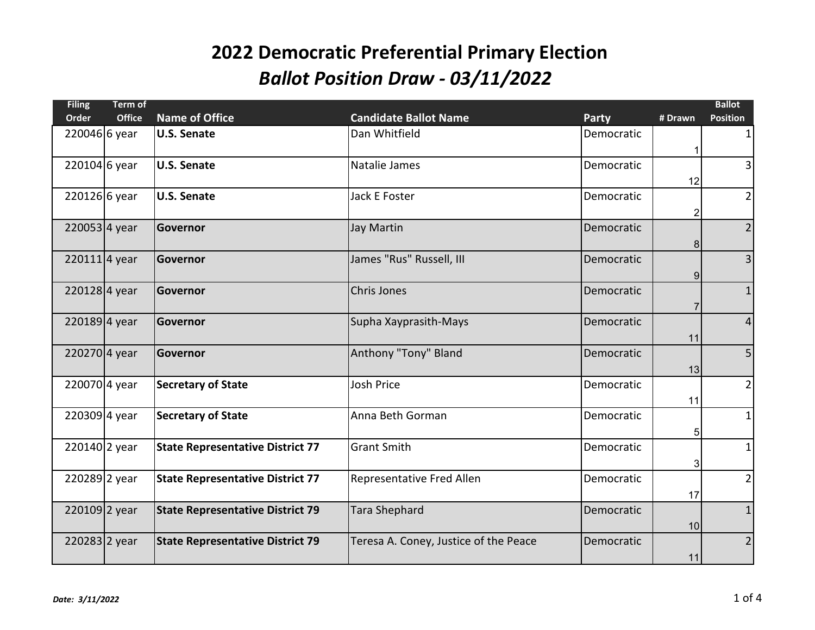| <b>Filing</b>   | <b>Term of</b> |                                         |                                       |            |                | <b>Ballot</b>   |
|-----------------|----------------|-----------------------------------------|---------------------------------------|------------|----------------|-----------------|
| Order           | <b>Office</b>  | <b>Name of Office</b>                   | <b>Candidate Ballot Name</b>          | Party      | # Drawn        | <b>Position</b> |
| 220046 6 year   |                | <b>U.S. Senate</b>                      | Dan Whitfield                         | Democratic | 1              | $\mathbf{1}$    |
| 220104 6 year   |                | <b>U.S. Senate</b>                      | Natalie James                         | Democratic | 12             | $\overline{3}$  |
| 220126 6 year   |                | <b>U.S. Senate</b>                      | Jack E Foster                         | Democratic | $\overline{c}$ | $\overline{2}$  |
| $220053$ 4 year |                | Governor                                | Jay Martin                            | Democratic | 8              | $\overline{2}$  |
| $220111$ 4 year |                | Governor                                | James "Rus" Russell, III              | Democratic | 9              | $\overline{3}$  |
| 2201284 year    |                | <b>Governor</b>                         | <b>Chris Jones</b>                    | Democratic | 7              | $\mathbf 1$     |
| $220189$ 4 year |                | Governor                                | Supha Xayprasith-Mays                 | Democratic | 11             | $\overline{4}$  |
| 2202704 year    |                | Governor                                | Anthony "Tony" Bland                  | Democratic | 13             | 5               |
| 220070 4 year   |                | <b>Secretary of State</b>               | <b>Josh Price</b>                     | Democratic | 11             | $2\vert$        |
| 220309 4 year   |                | <b>Secretary of State</b>               | Anna Beth Gorman                      | Democratic | 5              | $\mathbf{1}$    |
| 220140 2 year   |                | <b>State Representative District 77</b> | <b>Grant Smith</b>                    | Democratic | 3              | $\mathbf{1}$    |
| 220289 2 year   |                | <b>State Representative District 77</b> | Representative Fred Allen             | Democratic | 17             | $\overline{2}$  |
| 220109 2 year   |                | <b>State Representative District 79</b> | <b>Tara Shephard</b>                  | Democratic | 10             | $\mathbf{1}$    |
| 220283 2 year   |                | <b>State Representative District 79</b> | Teresa A. Coney, Justice of the Peace | Democratic | 11             | $\overline{2}$  |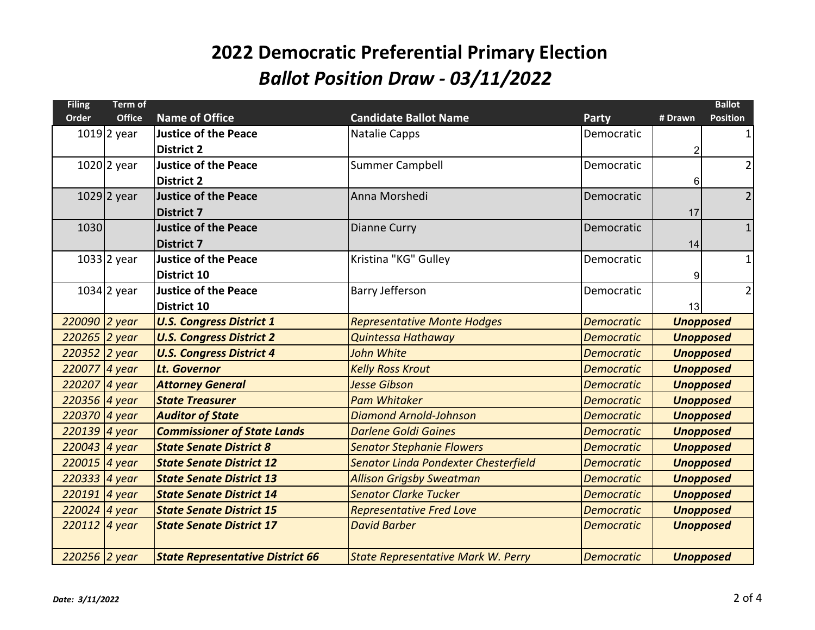| <b>Filing</b> | Term of       |                                         |                                           |                   |                | <b>Ballot</b>    |
|---------------|---------------|-----------------------------------------|-------------------------------------------|-------------------|----------------|------------------|
| Order         | <b>Office</b> | <b>Name of Office</b>                   | <b>Candidate Ballot Name</b>              | <b>Party</b>      | # Drawn        | <b>Position</b>  |
|               | $1019$ 2 year | <b>Justice of the Peace</b>             | <b>Natalie Capps</b>                      | Democratic        |                | 1                |
|               |               | <b>District 2</b>                       |                                           |                   | $\overline{2}$ |                  |
|               | $1020$ 2 year | <b>Justice of the Peace</b>             | Summer Campbell                           | Democratic        |                | $\overline{2}$   |
|               |               | <b>District 2</b>                       |                                           |                   | 6              |                  |
|               | 1029 2 year   | <b>Justice of the Peace</b>             | Anna Morshedi                             | Democratic        |                | $\overline{2}$   |
|               |               | <b>District 7</b>                       |                                           |                   | 17             |                  |
| 1030          |               | <b>Justice of the Peace</b>             | Dianne Curry                              | Democratic        |                | $\mathbf{1}$     |
|               |               | <b>District 7</b>                       |                                           |                   | 14             |                  |
|               | $1033$ 2 year | <b>Justice of the Peace</b>             | Kristina "KG" Gulley                      | Democratic        |                | $\mathbf{1}$     |
|               |               | District 10                             |                                           |                   | $9\,$          |                  |
|               | $1034$ 2 year | <b>Justice of the Peace</b>             | <b>Barry Jefferson</b>                    | Democratic        |                | $\overline{2}$   |
|               |               | <b>District 10</b>                      |                                           |                   | 13             |                  |
| 220090 2 year |               | <b>U.S. Congress District 1</b>         | <b>Representative Monte Hodges</b>        | <b>Democratic</b> |                | <b>Unopposed</b> |
| 220265 2 year |               | <b>U.S. Congress District 2</b>         | Quintessa Hathaway                        | <b>Democratic</b> |                | <b>Unopposed</b> |
| 220352 2 year |               | <b>U.S. Congress District 4</b>         | John White                                | <b>Democratic</b> |                | <b>Unopposed</b> |
| 220077 4 year |               | <b>Lt. Governor</b>                     | <b>Kelly Ross Krout</b>                   | <b>Democratic</b> |                | <b>Unopposed</b> |
| 220207 4 year |               | <b>Attorney General</b>                 | <b>Jesse Gibson</b>                       | <b>Democratic</b> |                | <b>Unopposed</b> |
| 220356 4 year |               | <b>State Treasurer</b>                  | <b>Pam Whitaker</b>                       | <b>Democratic</b> |                | <b>Unopposed</b> |
| 220370 4 year |               | <b>Auditor of State</b>                 | <b>Diamond Arnold-Johnson</b>             | <b>Democratic</b> |                | <b>Unopposed</b> |
| 220139 4 year |               | <b>Commissioner of State Lands</b>      | <b>Darlene Goldi Gaines</b>               | <b>Democratic</b> |                | <b>Unopposed</b> |
| 220043 4 year |               | <b>State Senate District 8</b>          | <b>Senator Stephanie Flowers</b>          | <b>Democratic</b> |                | <b>Unopposed</b> |
| 220015 4 year |               | <b>State Senate District 12</b>         | Senator Linda Pondexter Chesterfield      | <b>Democratic</b> |                | <b>Unopposed</b> |
| 220333 4 year |               | <b>State Senate District 13</b>         | <b>Allison Grigsby Sweatman</b>           | <b>Democratic</b> |                | <b>Unopposed</b> |
| 220191 4 year |               | <b>State Senate District 14</b>         | <b>Senator Clarke Tucker</b>              | <b>Democratic</b> |                | <b>Unopposed</b> |
| 220024 4 year |               | <b>State Senate District 15</b>         | <b>Representative Fred Love</b>           | <b>Democratic</b> |                | <b>Unopposed</b> |
| 220112 4 year |               | <b>State Senate District 17</b>         | <b>David Barber</b>                       | <b>Democratic</b> |                | <b>Unopposed</b> |
|               |               |                                         |                                           |                   |                |                  |
| 220256 2 year |               | <b>State Representative District 66</b> | <b>State Representative Mark W. Perry</b> | <b>Democratic</b> |                | <b>Unopposed</b> |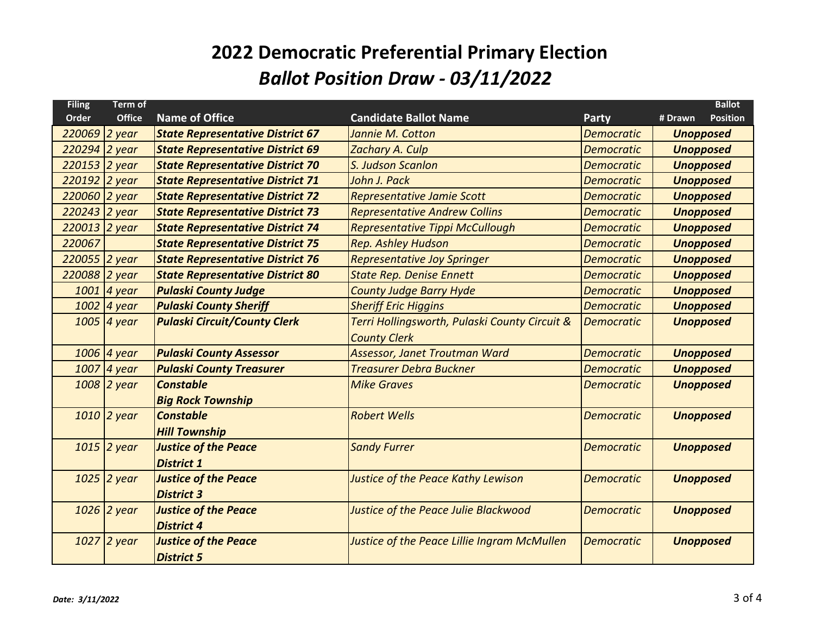| <b>Filing</b> | Term of       |                                         |                                               |                   | <b>Ballot</b>              |
|---------------|---------------|-----------------------------------------|-----------------------------------------------|-------------------|----------------------------|
| Order         | <b>Office</b> | <b>Name of Office</b>                   | <b>Candidate Ballot Name</b>                  | Party             | <b>Position</b><br># Drawn |
| 220069 2 year |               | <b>State Representative District 67</b> | Jannie M. Cotton                              | <b>Democratic</b> | <b>Unopposed</b>           |
| 220294        | 2 year        | <b>State Representative District 69</b> | Zachary A. Culp                               | <b>Democratic</b> | <b>Unopposed</b>           |
| 220153        | 2 year        | <b>State Representative District 70</b> | S. Judson Scanlon                             | <b>Democratic</b> | <b>Unopposed</b>           |
| 220192 2 year |               | <b>State Representative District 71</b> | John J. Pack                                  | <b>Democratic</b> | <b>Unopposed</b>           |
| 220060        | 2 year        | <b>State Representative District 72</b> | Representative Jamie Scott                    | <b>Democratic</b> | <b>Unopposed</b>           |
| 220243 2 year |               | <b>State Representative District 73</b> | <b>Representative Andrew Collins</b>          | <b>Democratic</b> | <b>Unopposed</b>           |
| 220013 2 year |               | <b>State Representative District 74</b> | Representative Tippi McCullough               | <b>Democratic</b> | <b>Unopposed</b>           |
| 220067        |               | <b>State Representative District 75</b> | <b>Rep. Ashley Hudson</b>                     | <b>Democratic</b> | <b>Unopposed</b>           |
| 220055 2 year |               | <b>State Representative District 76</b> | <b>Representative Joy Springer</b>            | <b>Democratic</b> | <b>Unopposed</b>           |
| 220088        | 2 year        | <b>State Representative District 80</b> | <b>State Rep. Denise Ennett</b>               | <b>Democratic</b> | <b>Unopposed</b>           |
|               | $1001$ 4 year | <b>Pulaski County Judge</b>             | <b>County Judge Barry Hyde</b>                | <b>Democratic</b> | <b>Unopposed</b>           |
|               | 1002 4 year   | <b>Pulaski County Sheriff</b>           | <b>Sheriff Eric Higgins</b>                   | <b>Democratic</b> | <b>Unopposed</b>           |
|               | $1005$ 4 year | <b>Pulaski Circuit/County Clerk</b>     | Terri Hollingsworth, Pulaski County Circuit & | <b>Democratic</b> | <b>Unopposed</b>           |
|               |               |                                         | <b>County Clerk</b>                           |                   |                            |
|               | 1006 4 year   | <b>Pulaski County Assessor</b>          | <b>Assessor, Janet Troutman Ward</b>          | <b>Democratic</b> | <b>Unopposed</b>           |
|               | $1007$ 4 year | <b>Pulaski County Treasurer</b>         | <b>Treasurer Debra Buckner</b>                | <b>Democratic</b> | <b>Unopposed</b>           |
|               | $1008$ 2 year | <b>Constable</b>                        | <b>Mike Graves</b>                            | <b>Democratic</b> | <b>Unopposed</b>           |
|               |               | <b>Big Rock Township</b>                |                                               |                   |                            |
|               | $1010$ 2 year | <b>Constable</b>                        | <b>Robert Wells</b>                           | <b>Democratic</b> | <b>Unopposed</b>           |
|               |               | <b>Hill Township</b>                    |                                               |                   |                            |
|               | $1015$ 2 year | <b>Justice of the Peace</b>             | <b>Sandy Furrer</b>                           | <b>Democratic</b> | <b>Unopposed</b>           |
|               |               | <b>District 1</b>                       |                                               |                   |                            |
|               | $1025$ 2 year | <b>Justice of the Peace</b>             | Justice of the Peace Kathy Lewison            | <b>Democratic</b> | <b>Unopposed</b>           |
|               |               | <b>District 3</b>                       |                                               |                   |                            |
|               | $1026$ 2 year | <b>Justice of the Peace</b>             | Justice of the Peace Julie Blackwood          | <b>Democratic</b> | <b>Unopposed</b>           |
|               |               | <b>District 4</b>                       |                                               |                   |                            |
|               | $1027$ 2 year | <b>Justice of the Peace</b>             | Justice of the Peace Lillie Ingram McMullen   | <b>Democratic</b> | <b>Unopposed</b>           |
|               |               | <b>District 5</b>                       |                                               |                   |                            |